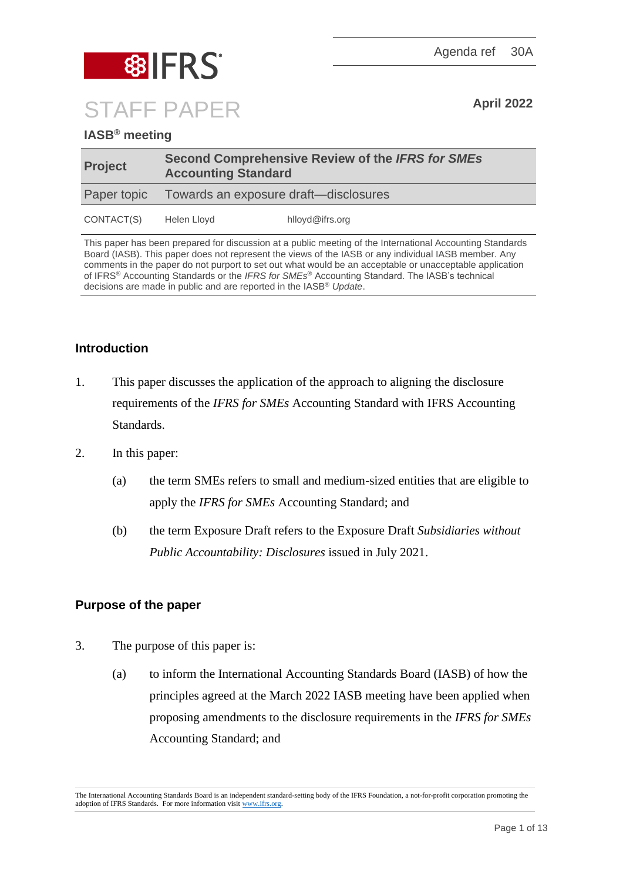Agenda ref 30A



**IASB® meeting**

| <b>Project</b> | <b>Second Comprehensive Review of the IFRS for SMEs</b><br><b>Accounting Standard</b> |                 |  |
|----------------|---------------------------------------------------------------------------------------|-----------------|--|
|                | Paper topic Towards an exposure draft—disclosures                                     |                 |  |
| CONTACT(S)     | Helen Lloyd                                                                           | hlloyd@ifrs.org |  |

This paper has been prepared for discussion at a public meeting of the International Accounting Standards Board (IASB). This paper does not represent the views of the IASB or any individual IASB member. Any comments in the paper do not purport to set out what would be an acceptable or unacceptable application of IFRS® Accounting Standards or the *IFRS for SMEs*® Accounting Standard. The IASB's technical decisions are made in public and are reported in the IASB® *Update*.

# **Introduction**

- 1. This paper discusses the application of the approach to aligning the disclosure requirements of the *IFRS for SMEs* Accounting Standard with IFRS Accounting Standards.
- 2. In this paper:
	- (a) the term SMEs refers to small and medium-sized entities that are eligible to apply the *IFRS for SMEs* Accounting Standard; and
	- (b) the term Exposure Draft refers to the Exposure Draft *Subsidiaries without Public Accountability: Disclosures* issued in July 2021.

## **Purpose of the paper**

- 3. The purpose of this paper is:
	- (a) to inform the International Accounting Standards Board (IASB) of how the principles agreed at the March 2022 IASB meeting have been applied when proposing amendments to the disclosure requirements in the *IFRS for SMEs* Accounting Standard; and

The International Accounting Standards Board is an independent standard-setting body of the IFRS Foundation, a not-for-profit corporation promoting the adoption of IFRS Standards. For more information visit [www.ifrs.org.](http://www.ifrs.org/)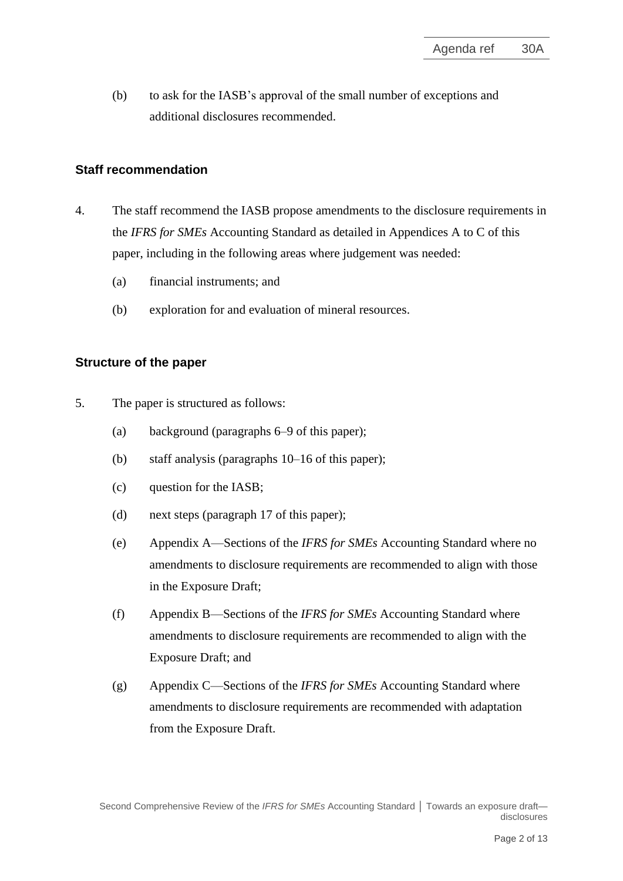(b) to ask for the IASB's approval of the small number of exceptions and additional disclosures recommended.

## **Staff recommendation**

- <span id="page-1-0"></span>4. The staff recommend the IASB propose amendments to the disclosure requirements in the *IFRS for SMEs* Accounting Standard as detailed in Appendices A to C of this paper, including in the following areas where judgement was needed:
	- (a) financial instruments; and
	- (b) exploration for and evaluation of mineral resources.

#### **Structure of the paper**

- 5. The paper is structured as follows:
	- (a) background (paragraphs [6](#page-2-0)[–9](#page-3-0) of this paper);
	- (b) staff analysis (paragraphs [10](#page-4-0)[–16](#page-6-0) of this paper);
	- (c) question for the IASB;
	- (d) next steps (paragraph [17](#page-6-1) of this paper);
	- (e) Appendix A—Sections of the *IFRS for SMEs* Accounting Standard where no amendments to disclosure requirements are recommended to align with those in the Exposure Draft;
	- (f) Appendix B—Sections of the *IFRS for SMEs* Accounting Standard where amendments to disclosure requirements are recommended to align with the Exposure Draft; and
	- (g) Appendix C—Sections of the *IFRS for SMEs* Accounting Standard where amendments to disclosure requirements are recommended with adaptation from the Exposure Draft.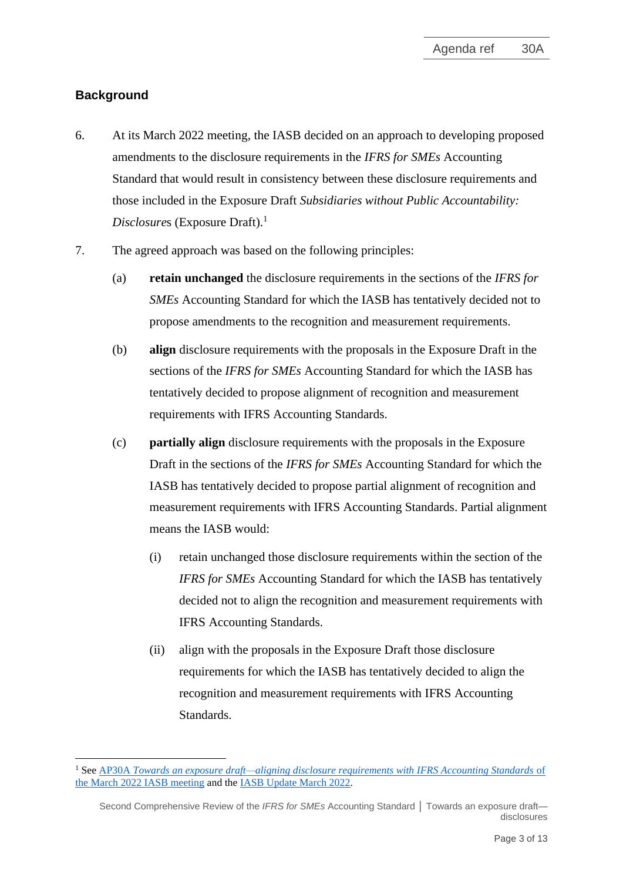# **Background**

- <span id="page-2-0"></span>6. At its March 2022 meeting, the IASB decided on an approach to developing proposed amendments to the disclosure requirements in the *IFRS for SMEs* Accounting Standard that would result in consistency between these disclosure requirements and those included in the Exposure Draft *Subsidiaries without Public Accountability: Disclosure*s (Exposure Draft). 1
- <span id="page-2-1"></span>7. The agreed approach was based on the following principles:
	- (a) **retain unchanged** the disclosure requirements in the sections of the *IFRS for SMEs* Accounting Standard for which the IASB has tentatively decided not to propose amendments to the recognition and measurement requirements.
	- (b) **align** disclosure requirements with the proposals in the Exposure Draft in the sections of the *IFRS for SMEs* Accounting Standard for which the IASB has tentatively decided to propose alignment of recognition and measurement requirements with IFRS Accounting Standards.
	- (c) **partially align** disclosure requirements with the proposals in the Exposure Draft in the sections of the *IFRS for SMEs* Accounting Standard for which the IASB has tentatively decided to propose partial alignment of recognition and measurement requirements with IFRS Accounting Standards. Partial alignment means the IASB would:
		- (i) retain unchanged those disclosure requirements within the section of the *IFRS for SMEs* Accounting Standard for which the IASB has tentatively decided not to align the recognition and measurement requirements with IFRS Accounting Standards.
		- (ii) align with the proposals in the Exposure Draft those disclosure requirements for which the IASB has tentatively decided to align the recognition and measurement requirements with IFRS Accounting Standards.

<sup>&</sup>lt;sup>1</sup> See AP30A *[Towards an exposure draft—aligning disclosure requirements with IFRS Accounting Standards](https://www.ifrs.org/content/dam/ifrs/meetings/2022/march/iasb/ap30a-aligning-disclosures.pdf) of* [the March 2022 IASB meeting](https://www.ifrs.org/content/dam/ifrs/meetings/2022/march/iasb/ap30a-aligning-disclosures.pdf) and th[e IASB Update March 2022.](https://www.ifrs.org/news-and-events/updates/iasb/2022/iasb-update-march-2022/#7)

Second Comprehensive Review of the *IFRS for SMEs* Accounting Standard **│** Towards an exposure draft disclosures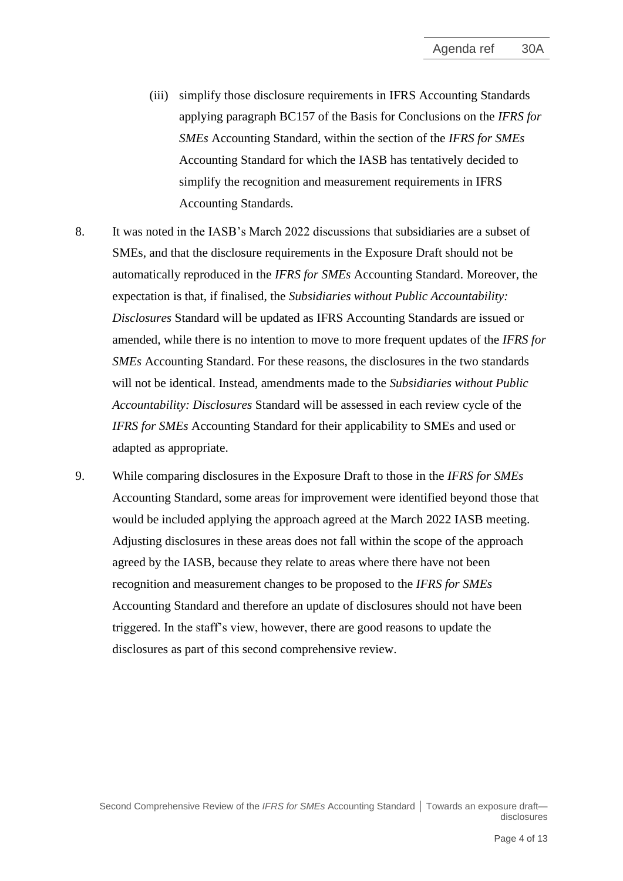- (iii) simplify those disclosure requirements in IFRS Accounting Standards applying paragraph BC157 of the Basis for Conclusions on the *IFRS for SMEs* Accounting Standard, within the section of the *IFRS for SMEs* Accounting Standard for which the IASB has tentatively decided to simplify the recognition and measurement requirements in IFRS Accounting Standards.
- 8. It was noted in the IASB's March 2022 discussions that subsidiaries are a subset of SMEs, and that the disclosure requirements in the Exposure Draft should not be automatically reproduced in the *IFRS for SMEs* Accounting Standard. Moreover, the expectation is that, if finalised, the *Subsidiaries without Public Accountability: Disclosures* Standard will be updated as IFRS Accounting Standards are issued or amended, while there is no intention to move to more frequent updates of the *IFRS for SMEs* Accounting Standard. For these reasons, the disclosures in the two standards will not be identical. Instead, amendments made to the *Subsidiaries without Public Accountability: Disclosures* Standard will be assessed in each review cycle of the *IFRS for SMEs* Accounting Standard for their applicability to SMEs and used or adapted as appropriate.
- <span id="page-3-0"></span>9. While comparing disclosures in the Exposure Draft to those in the *IFRS for SMEs* Accounting Standard, some areas for improvement were identified beyond those that would be included applying the approach agreed at the March 2022 IASB meeting. Adjusting disclosures in these areas does not fall within the scope of the approach agreed by the IASB, because they relate to areas where there have not been recognition and measurement changes to be proposed to the *IFRS for SMEs* Accounting Standard and therefore an update of disclosures should not have been triggered. In the staff's view, however, there are good reasons to update the disclosures as part of this second comprehensive review.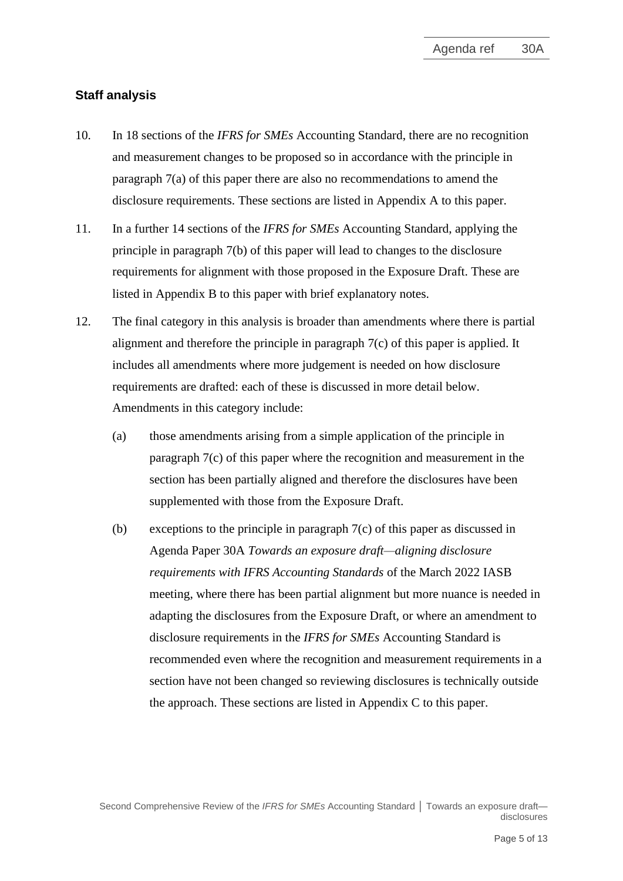# **Staff analysis**

- <span id="page-4-0"></span>10. In 18 sections of the *IFRS for SMEs* Accounting Standard, there are no recognition and measurement changes to be proposed so in accordance with the principle in paragraph [7\(](#page-2-1)a) of this paper there are also no recommendations to amend the disclosure requirements. These sections are listed in Appendix A to this paper.
- 11. In a further 14 sections of the *IFRS for SMEs* Accounting Standard, applying the principle in paragraph [7\(](#page-2-1)b) of this paper will lead to changes to the disclosure requirements for alignment with those proposed in the Exposure Draft. These are listed in Appendix B to this paper with brief explanatory notes.
- 12. The final category in this analysis is broader than amendments where there is partial alignment and therefore the principle in paragraph [7\(](#page-2-1)c) of this paper is applied. It includes all amendments where more judgement is needed on how disclosure requirements are drafted: each of these is discussed in more detail below. Amendments in this category include:
	- (a) those amendments arising from a simple application of the principle in paragraph [7\(](#page-2-1)c) of this paper where the recognition and measurement in the section has been partially aligned and therefore the disclosures have been supplemented with those from the Exposure Draft.
	- (b) exceptions to the principle in paragraph [7\(](#page-2-1)c) of this paper as discussed in Agenda Paper 30A *Towards an exposure draft—aligning disclosure requirements with IFRS Accounting Standards* of the March 2022 IASB meeting, where there has been partial alignment but more nuance is needed in adapting the disclosures from the Exposure Draft, or where an amendment to disclosure requirements in the *IFRS for SMEs* Accounting Standard is recommended even where the recognition and measurement requirements in a section have not been changed so reviewing disclosures is technically outside the approach. These sections are listed in Appendix C to this paper.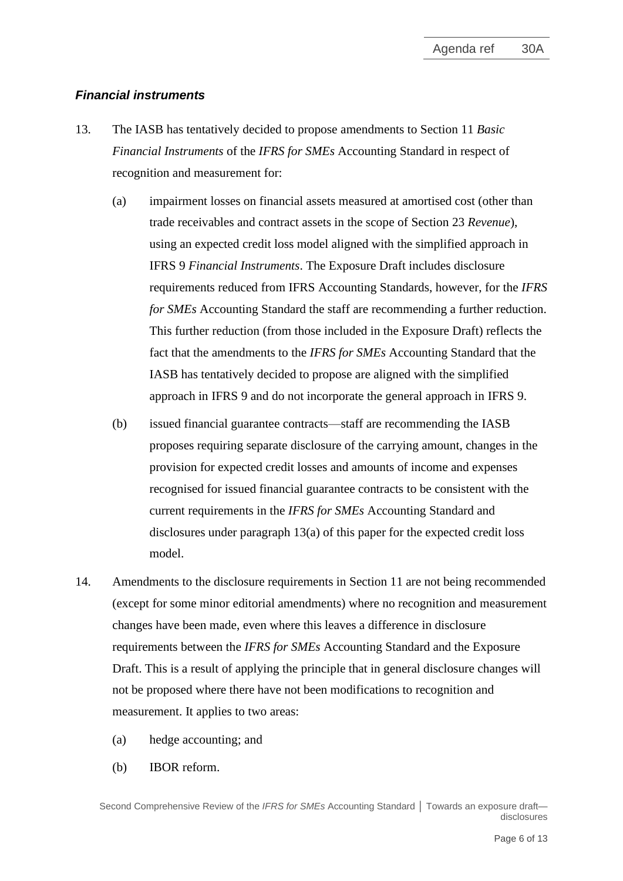## *Financial instruments*

- 13. The IASB has tentatively decided to propose amendments to Section 11 *Basic Financial Instruments* of the *IFRS for SMEs* Accounting Standard in respect of recognition and measurement for:
	- (a) impairment losses on financial assets measured at amortised cost (other than trade receivables and contract assets in the scope of Section 23 *Revenue*), using an expected credit loss model aligned with the simplified approach in IFRS 9 *Financial Instruments*. The Exposure Draft includes disclosure requirements reduced from IFRS Accounting Standards, however, for the *IFRS for SMEs* Accounting Standard the staff are recommending a further reduction. This further reduction (from those included in the Exposure Draft) reflects the fact that the amendments to the *IFRS for SMEs* Accounting Standard that the IASB has tentatively decided to propose are aligned with the simplified approach in IFRS 9 and do not incorporate the general approach in IFRS 9.
	- (b) issued financial guarantee contracts—staff are recommending the IASB proposes requiring separate disclosure of the carrying amount, changes in the provision for expected credit losses and amounts of income and expenses recognised for issued financial guarantee contracts to be consistent with the current requirements in the *IFRS for SMEs* Accounting Standard and disclosures under paragraph 13(a) of this paper for the expected credit loss model.
- 14. Amendments to the disclosure requirements in Section 11 are not being recommended (except for some minor editorial amendments) where no recognition and measurement changes have been made, even where this leaves a difference in disclosure requirements between the *IFRS for SMEs* Accounting Standard and the Exposure Draft. This is a result of applying the principle that in general disclosure changes will not be proposed where there have not been modifications to recognition and measurement. It applies to two areas:
	- (a) hedge accounting; and
	- (b) IBOR reform.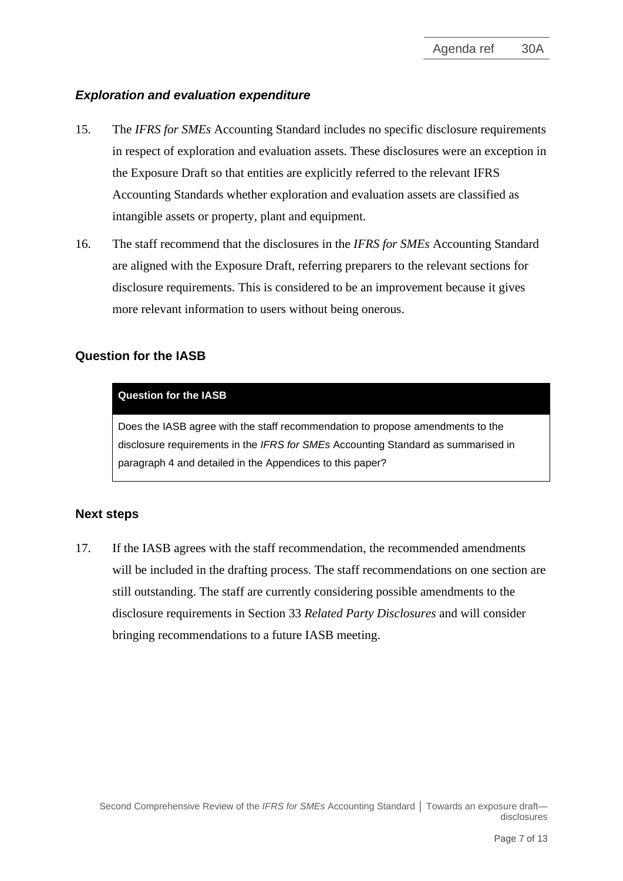## *Exploration and evaluation expenditure*

- 15. The *IFRS for SMEs* Accounting Standard includes no specific disclosure requirements in respect of exploration and evaluation assets. These disclosures were an exception in the Exposure Draft so that entities are explicitly referred to the relevant IFRS Accounting Standards whether exploration and evaluation assets are classified as intangible assets or property, plant and equipment.
- <span id="page-6-0"></span>16. The staff recommend that the disclosures in the *IFRS for SMEs* Accounting Standard are aligned with the Exposure Draft, referring preparers to the relevant sections for disclosure requirements. This is considered to be an improvement because it gives more relevant information to users without being onerous.

## **Question for the IASB**

#### **Question for the IASB**

Does the IASB agree with the staff recommendation to propose amendments to the disclosure requirements in the *IFRS for SMEs* Accounting Standard as summarised in paragraph [4](#page-1-0) and detailed in the Appendices to this paper?

#### **Next steps**

<span id="page-6-1"></span>17. If the IASB agrees with the staff recommendation, the recommended amendments will be included in the drafting process. The staff recommendations on one section are still outstanding. The staff are currently considering possible amendments to the disclosure requirements in Section 33 *Related Party Disclosures* and will consider bringing recommendations to a future IASB meeting.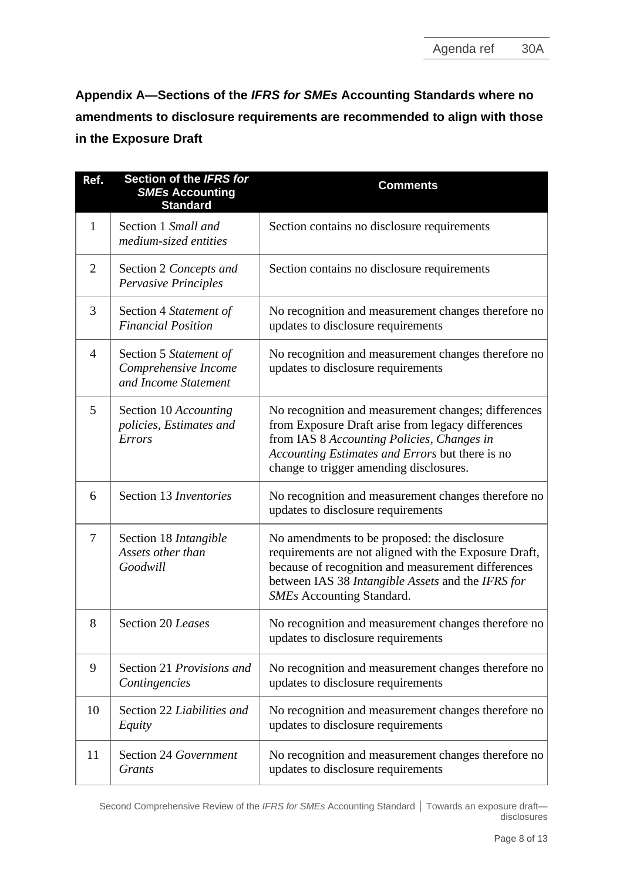**Appendix A—Sections of the** *IFRS for SMEs* **Accounting Standards where no amendments to disclosure requirements are recommended to align with those in the Exposure Draft**

| Ref.           | Section of the IFRS for<br><b>SMEs Accounting</b><br><b>Standard</b>   | <b>Comments</b>                                                                                                                                                                                                                                      |
|----------------|------------------------------------------------------------------------|------------------------------------------------------------------------------------------------------------------------------------------------------------------------------------------------------------------------------------------------------|
| $\mathbf{1}$   | Section 1 Small and<br>medium-sized entities                           | Section contains no disclosure requirements                                                                                                                                                                                                          |
| $\overline{2}$ | Section 2 Concepts and<br>Pervasive Principles                         | Section contains no disclosure requirements                                                                                                                                                                                                          |
| 3              | Section 4 Statement of<br><b>Financial Position</b>                    | No recognition and measurement changes therefore no<br>updates to disclosure requirements                                                                                                                                                            |
| $\overline{4}$ | Section 5 Statement of<br>Comprehensive Income<br>and Income Statement | No recognition and measurement changes therefore no<br>updates to disclosure requirements                                                                                                                                                            |
| 5              | Section 10 Accounting<br>policies, Estimates and<br><b>Errors</b>      | No recognition and measurement changes; differences<br>from Exposure Draft arise from legacy differences<br>from IAS 8 Accounting Policies, Changes in<br>Accounting Estimates and Errors but there is no<br>change to trigger amending disclosures. |
| 6              | Section 13 Inventories                                                 | No recognition and measurement changes therefore no<br>updates to disclosure requirements                                                                                                                                                            |
| 7              | Section 18 <i>Intangible</i><br>Assets other than<br>Goodwill          | No amendments to be proposed: the disclosure<br>requirements are not aligned with the Exposure Draft,<br>because of recognition and measurement differences<br>between IAS 38 Intangible Assets and the IFRS for<br><b>SMEs</b> Accounting Standard. |
| 8              | Section 20 Leases                                                      | No recognition and measurement changes therefore no<br>updates to disclosure requirements                                                                                                                                                            |
| 9              | Section 21 Provisions and<br>Contingencies                             | No recognition and measurement changes therefore no<br>updates to disclosure requirements                                                                                                                                                            |
| 10             | Section 22 Liabilities and<br>Equity                                   | No recognition and measurement changes therefore no<br>updates to disclosure requirements                                                                                                                                                            |
| 11             | <b>Section 24 Government</b><br>Grants                                 | No recognition and measurement changes therefore no<br>updates to disclosure requirements                                                                                                                                                            |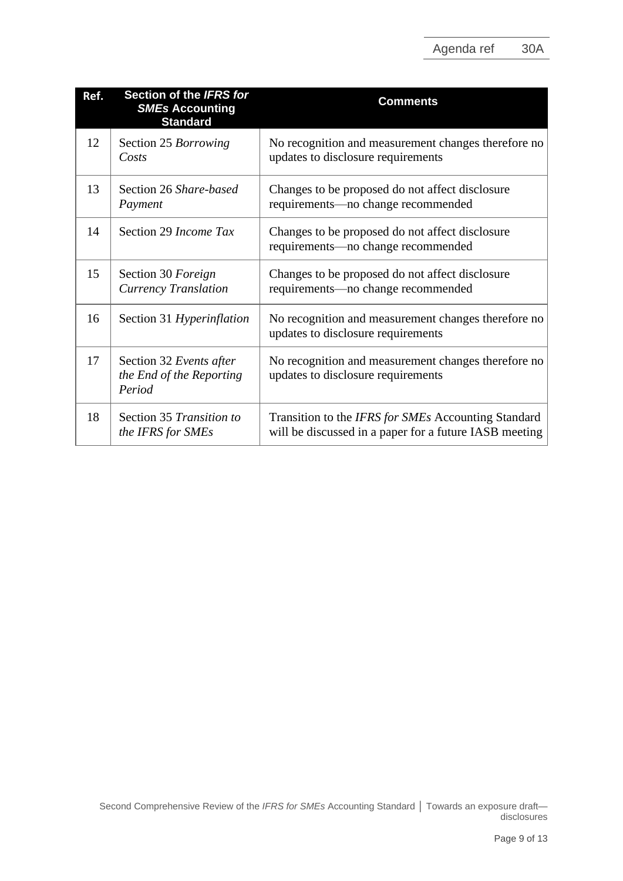| Ref. | Section of the IFRS for<br><b>SMEs Accounting</b><br><b>Standard</b> | <b>Comments</b>                                                                                               |
|------|----------------------------------------------------------------------|---------------------------------------------------------------------------------------------------------------|
| 12   | Section 25 Borrowing<br>Costs                                        | No recognition and measurement changes therefore no<br>updates to disclosure requirements                     |
| 13   | Section 26 Share-based<br>Payment                                    | Changes to be proposed do not affect disclosure<br>requirements-no change recommended                         |
| 14   | Section 29 Income Tax                                                | Changes to be proposed do not affect disclosure<br>requirements—no change recommended                         |
| 15   | Section 30 Foreign<br>Currency Translation                           | Changes to be proposed do not affect disclosure<br>requirements—no change recommended                         |
| 16   | Section 31 Hyperinflation                                            | No recognition and measurement changes therefore no<br>updates to disclosure requirements                     |
| 17   | Section 32 Events after<br>the End of the Reporting<br>Period        | No recognition and measurement changes therefore no<br>updates to disclosure requirements                     |
| 18   | Section 35 Transition to<br>the IFRS for SMEs                        | Transition to the IFRS for SMEs Accounting Standard<br>will be discussed in a paper for a future IASB meeting |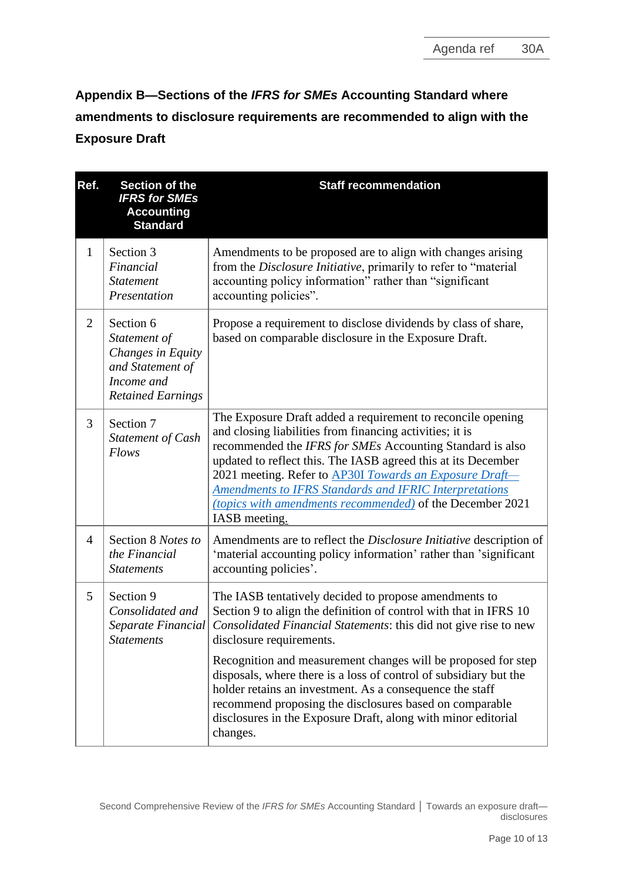**Appendix B—Sections of the** *IFRS for SMEs* **Accounting Standard where amendments to disclosure requirements are recommended to align with the Exposure Draft**

| Ref.           | Section of the<br><b>IFRS for SMEs</b><br><b>Accounting</b><br><b>Standard</b>                               | <b>Staff recommendation</b>                                                                                                                                                                                                                                                                                                                                                                                                                                     |
|----------------|--------------------------------------------------------------------------------------------------------------|-----------------------------------------------------------------------------------------------------------------------------------------------------------------------------------------------------------------------------------------------------------------------------------------------------------------------------------------------------------------------------------------------------------------------------------------------------------------|
| $\mathbf{1}$   | Section 3<br>Financial<br><b>Statement</b><br>Presentation                                                   | Amendments to be proposed are to align with changes arising<br>from the Disclosure Initiative, primarily to refer to "material<br>accounting policy information" rather than "significant<br>accounting policies".                                                                                                                                                                                                                                              |
| 2              | Section 6<br>Statement of<br>Changes in Equity<br>and Statement of<br>Income and<br><b>Retained Earnings</b> | Propose a requirement to disclose dividends by class of share,<br>based on comparable disclosure in the Exposure Draft.                                                                                                                                                                                                                                                                                                                                         |
| 3              | Section 7<br>Statement of Cash<br>Flows                                                                      | The Exposure Draft added a requirement to reconcile opening<br>and closing liabilities from financing activities; it is<br>recommended the IFRS for SMEs Accounting Standard is also<br>updated to reflect this. The IASB agreed this at its December<br>2021 meeting. Refer to AP30I Towards an Exposure Draft-<br><b>Amendments to IFRS Standards and IFRIC Interpretations</b><br>(topics with amendments recommended) of the December 2021<br>IASB meeting. |
| $\overline{4}$ | Section 8 Notes to<br>the Financial<br><b>Statements</b>                                                     | Amendments are to reflect the <i>Disclosure Initiative</i> description of<br>'material accounting policy information' rather than 'significant<br>accounting policies'.                                                                                                                                                                                                                                                                                         |
| 5              | Section 9<br>Consolidated and<br>Separate Financial<br><b>Statements</b>                                     | The IASB tentatively decided to propose amendments to<br>Section 9 to align the definition of control with that in IFRS 10<br>Consolidated Financial Statements: this did not give rise to new<br>disclosure requirements.<br>Recognition and measurement changes will be proposed for step                                                                                                                                                                     |
|                |                                                                                                              | disposals, where there is a loss of control of subsidiary but the<br>holder retains an investment. As a consequence the staff<br>recommend proposing the disclosures based on comparable<br>disclosures in the Exposure Draft, along with minor editorial<br>changes.                                                                                                                                                                                           |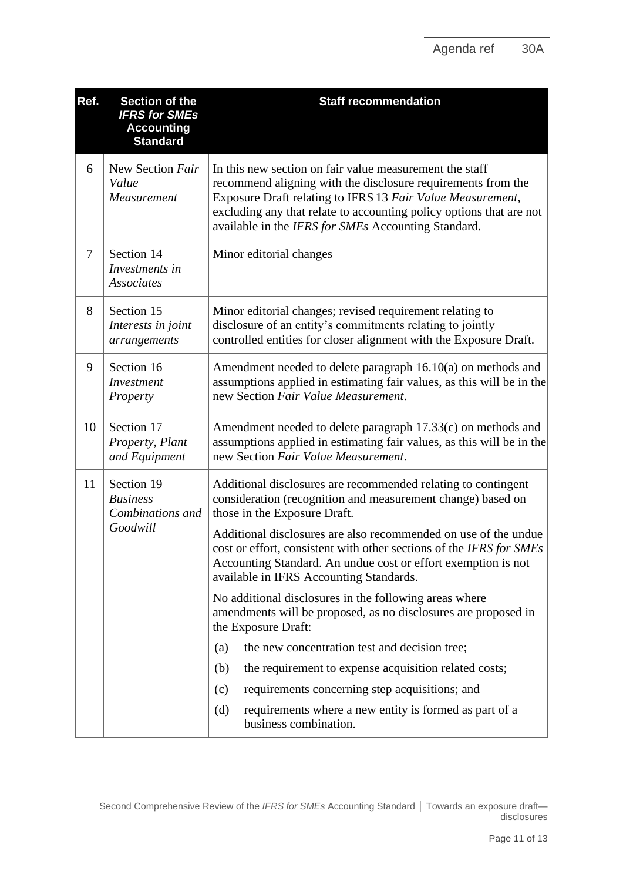| Ref.           | Section of the<br><b>IFRS for SMEs</b><br><b>Accounting</b><br><b>Standard</b> | <b>Staff recommendation</b>                                                                                                                                                                                                                                                                                         |
|----------------|--------------------------------------------------------------------------------|---------------------------------------------------------------------------------------------------------------------------------------------------------------------------------------------------------------------------------------------------------------------------------------------------------------------|
| 6              | New Section Fair<br>Value<br>Measurement                                       | In this new section on fair value measurement the staff<br>recommend aligning with the disclosure requirements from the<br>Exposure Draft relating to IFRS 13 Fair Value Measurement,<br>excluding any that relate to accounting policy options that are not<br>available in the IFRS for SMEs Accounting Standard. |
| $\overline{7}$ | Section 14<br>Investments in<br><b>Associates</b>                              | Minor editorial changes                                                                                                                                                                                                                                                                                             |
| 8              | Section 15<br>Interests in joint<br>arrangements                               | Minor editorial changes; revised requirement relating to<br>disclosure of an entity's commitments relating to jointly<br>controlled entities for closer alignment with the Exposure Draft.                                                                                                                          |
| 9              | Section 16<br>Investment<br>Property                                           | Amendment needed to delete paragraph 16.10(a) on methods and<br>assumptions applied in estimating fair values, as this will be in the<br>new Section Fair Value Measurement.                                                                                                                                        |
| 10             | Section 17<br>Property, Plant<br>and Equipment                                 | Amendment needed to delete paragraph 17.33(c) on methods and<br>assumptions applied in estimating fair values, as this will be in the<br>new Section Fair Value Measurement.                                                                                                                                        |
| 11             | Section 19<br><b>Business</b><br>Combinations and<br>Goodwill                  | Additional disclosures are recommended relating to contingent<br>consideration (recognition and measurement change) based on<br>those in the Exposure Draft.                                                                                                                                                        |
|                |                                                                                | Additional disclosures are also recommended on use of the undue<br>cost or effort, consistent with other sections of the IFRS for SMEs<br>Accounting Standard. An undue cost or effort exemption is not<br>available in IFRS Accounting Standards.                                                                  |
|                |                                                                                | No additional disclosures in the following areas where<br>amendments will be proposed, as no disclosures are proposed in<br>the Exposure Draft:                                                                                                                                                                     |
|                |                                                                                | the new concentration test and decision tree;<br>(a)                                                                                                                                                                                                                                                                |
|                |                                                                                | the requirement to expense acquisition related costs;<br>(b)                                                                                                                                                                                                                                                        |
|                |                                                                                | requirements concerning step acquisitions; and<br>(c)                                                                                                                                                                                                                                                               |
|                |                                                                                | requirements where a new entity is formed as part of a<br>(d)<br>business combination.                                                                                                                                                                                                                              |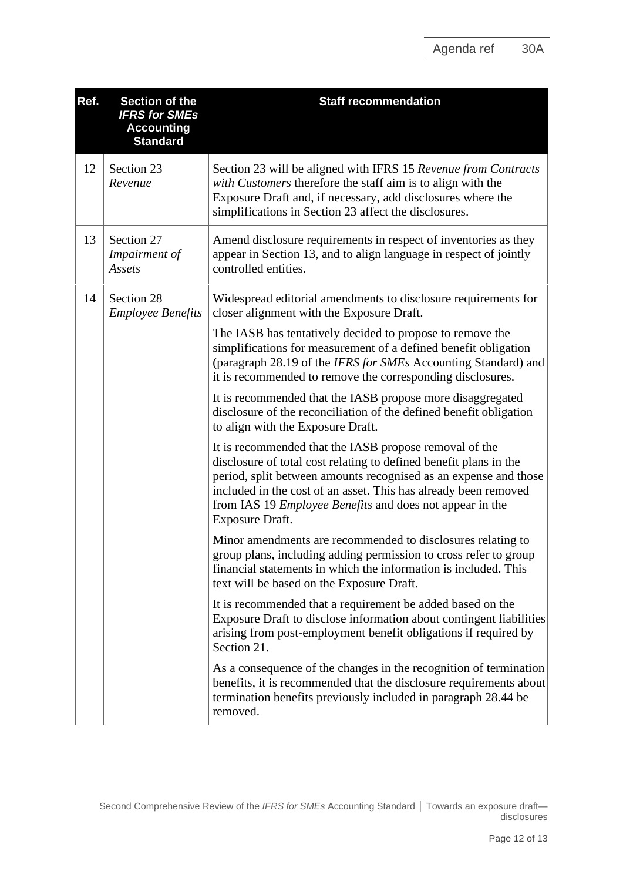| Ref. | Section of the<br><b>IFRS for SMEs</b><br><b>Accounting</b><br><b>Standard</b> | <b>Staff recommendation</b>                                                                                                                                                                                                                                                                                                                              |
|------|--------------------------------------------------------------------------------|----------------------------------------------------------------------------------------------------------------------------------------------------------------------------------------------------------------------------------------------------------------------------------------------------------------------------------------------------------|
| 12   | Section 23<br>Revenue                                                          | Section 23 will be aligned with IFRS 15 Revenue from Contracts<br>with Customers therefore the staff aim is to align with the<br>Exposure Draft and, if necessary, add disclosures where the<br>simplifications in Section 23 affect the disclosures.                                                                                                    |
| 13   | Section 27<br>Impairment of<br>Assets                                          | Amend disclosure requirements in respect of inventories as they<br>appear in Section 13, and to align language in respect of jointly<br>controlled entities.                                                                                                                                                                                             |
| 14   | Section 28<br><b>Employee Benefits</b>                                         | Widespread editorial amendments to disclosure requirements for<br>closer alignment with the Exposure Draft.                                                                                                                                                                                                                                              |
|      |                                                                                | The IASB has tentatively decided to propose to remove the<br>simplifications for measurement of a defined benefit obligation<br>(paragraph 28.19 of the IFRS for SMEs Accounting Standard) and<br>it is recommended to remove the corresponding disclosures.                                                                                             |
|      |                                                                                | It is recommended that the IASB propose more disaggregated<br>disclosure of the reconciliation of the defined benefit obligation<br>to align with the Exposure Draft.                                                                                                                                                                                    |
|      |                                                                                | It is recommended that the IASB propose removal of the<br>disclosure of total cost relating to defined benefit plans in the<br>period, split between amounts recognised as an expense and those<br>included in the cost of an asset. This has already been removed<br>from IAS 19 <i>Employee Benefits</i> and does not appear in the<br>Exposure Draft. |
|      |                                                                                | Minor amendments are recommended to disclosures relating to<br>group plans, including adding permission to cross refer to group<br>financial statements in which the information is included. This<br>text will be based on the Exposure Draft.                                                                                                          |
|      |                                                                                | It is recommended that a requirement be added based on the<br>Exposure Draft to disclose information about contingent liabilities<br>arising from post-employment benefit obligations if required by<br>Section 21.                                                                                                                                      |
|      |                                                                                | As a consequence of the changes in the recognition of termination<br>benefits, it is recommended that the disclosure requirements about<br>termination benefits previously included in paragraph 28.44 be<br>removed.                                                                                                                                    |